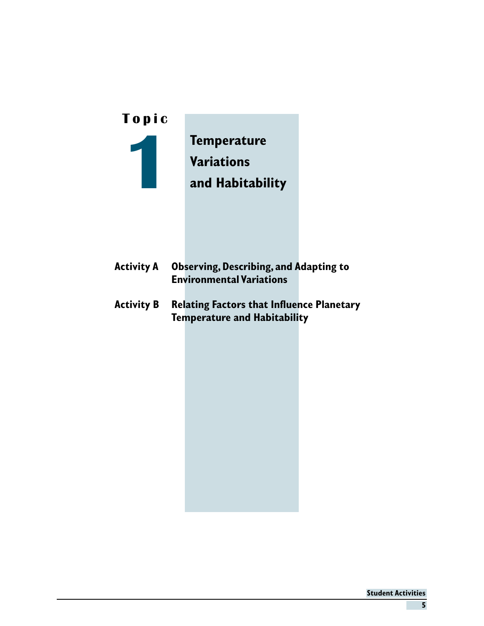| Topic             |                                                                                         |  |
|-------------------|-----------------------------------------------------------------------------------------|--|
|                   | <b>Temperature</b><br><b>Variations</b><br>and Habitability                             |  |
| <b>Activity A</b> | <b>Observing, Describing, and Adapting to</b><br><b>Environmental Variations</b>        |  |
| Activity B        | <b>Relating Factors that Influence Planetary</b><br><b>Temperature and Habitability</b> |  |
|                   |                                                                                         |  |
|                   |                                                                                         |  |
|                   |                                                                                         |  |
|                   |                                                                                         |  |
|                   |                                                                                         |  |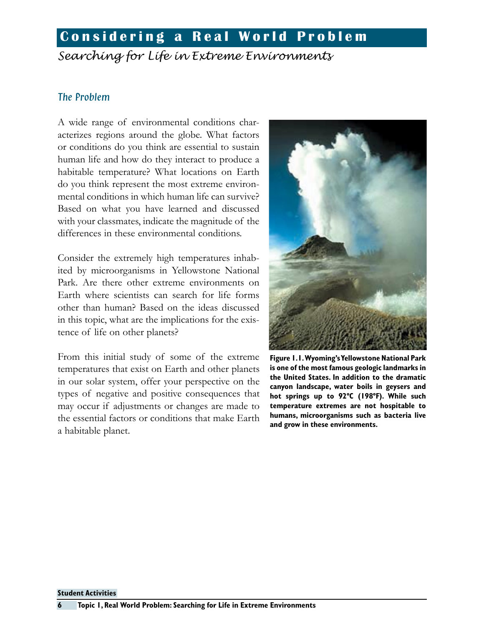### **Considering a Real World Problem**

*Searching for Life in Extreme Environments*

#### The Problem

A wide range of environmental conditions characterizes regions around the globe. What factors or conditions do you think are essential to sustain human life and how do they interact to produce a habitable temperature? What locations on Earth do you think represent the most extreme environmental conditions in which human life can survive? Based on what you have learned and discussed with your classmates, indicate the magnitude of the differences in these environmental conditions.

Consider the extremely high temperatures inhabited by microorganisms in Yellowstone National Park. Are there other extreme environments on Earth where scientists can search for life forms other than human? Based on the ideas discussed in this topic, what are the implications for the existence of life on other planets?

From this initial study of some of the extreme temperatures that exist on Earth and other planets in our solar system, offer your perspective on the types of negative and positive consequences that may occur if adjustments or changes are made to the essential factors or conditions that make Earth a habitable planet.



**Figure 1.1. Wyoming's Yellowstone National Park is one of the most famous geologic landmarks in the United States. In addition to the dramatic canyon landscape, water boils in geysers and hot springs up to 92ºC (198ºF). While such temperature extremes are not hospitable to humans, microorganisms such as bacteria live and grow in these environments.**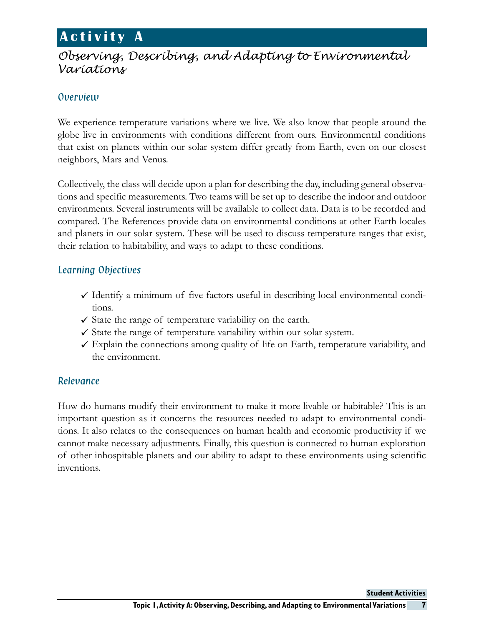### **A c t i v i t y A**

### *Observing, Describing, and Adapting to Environmental Variations*

### Overview

We experience temperature variations where we live. We also know that people around the globe live in environments with conditions different from ours. Environmental conditions that exist on planets within our solar system differ greatly from Earth, even on our closest neighbors, Mars and Venus.

Collectively, the class will decide upon a plan for describing the day, including general observations and specific measurements. Two teams will be set up to describe the indoor and outdoor environments. Several instruments will be available to collect data. Data is to be recorded and compared. The References provide data on environmental conditions at other Earth locales and planets in our solar system. These will be used to discuss temperature ranges that exist, their relation to habitability, and ways to adapt to these conditions.

### Learning Objectives

- $\checkmark$  Identify a minimum of five factors useful in describing local environmental conditions.
- $\checkmark$  State the range of temperature variability on the earth.
- $\checkmark$  State the range of temperature variability within our solar system.
- $\checkmark$  Explain the connections among quality of life on Earth, temperature variability, and the environment.

### Relevance

How do humans modify their environment to make it more livable or habitable? This is an important question as it concerns the resources needed to adapt to environmental conditions. It also relates to the consequences on human health and economic productivity if we cannot make necessary adjustments. Finally, this question is connected to human exploration of other inhospitable planets and our ability to adapt to these environments using scientific inventions.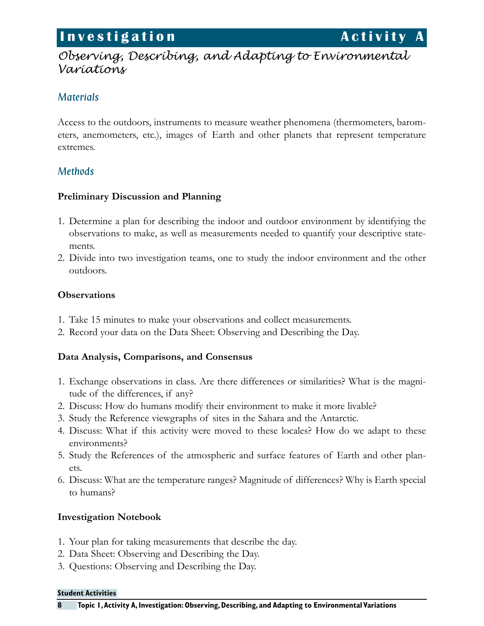### **Investigation Activity A**

### *Observing, Describing, and Adapting to Environmental Variations*

### **Materials**

Access to the outdoors, instruments to measure weather phenomena (thermometers, barometers, anemometers, etc.), images of Earth and other planets that represent temperature extremes.

### **Methods**

#### **Preliminary Discussion and Planning**

- 1. Determine a plan for describing the indoor and outdoor environment by identifying the observations to make, as well as measurements needed to quantify your descriptive statements.
- 2. Divide into two investigation teams, one to study the indoor environment and the other outdoors.

#### **Observations**

- 1. Take 15 minutes to make your observations and collect measurements.
- 2. Record your data on the Data Sheet: Observing and Describing the Day.

#### **Data Analysis, Comparisons, and Consensus**

- 1. Exchange observations in class. Are there differences or similarities? What is the magnitude of the differences, if any?
- 2. Discuss: How do humans modify their environment to make it more livable?
- 3. Study the Reference viewgraphs of sites in the Sahara and the Antarctic.
- 4. Discuss: What if this activity were moved to these locales? How do we adapt to these environments?
- 5. Study the References of the atmospheric and surface features of Earth and other planets.
- 6. Discuss: What are the temperature ranges? Magnitude of differences? Why is Earth special to humans?

### **Investigation Notebook**

- 1. Your plan for taking measurements that describe the day.
- 2. Data Sheet: Observing and Describing the Day.
- 3. Questions: Observing and Describing the Day.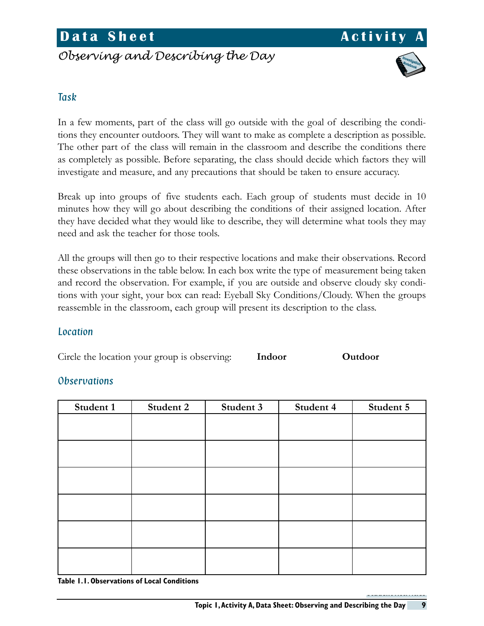### **Data Sheet Activity**

### *Observing and Describing the Day*



#### Task

In a few moments, part of the class will go outside with the goal of describing the conditions they encounter outdoors. They will want to make as complete a description as possible. The other part of the class will remain in the classroom and describe the conditions there as completely as possible. Before separating, the class should decide which factors they will investigate and measure, and any precautions that should be taken to ensure accuracy.

Break up into groups of five students each. Each group of students must decide in 10 minutes how they will go about describing the conditions of their assigned location. After they have decided what they would like to describe, they will determine what tools they may need and ask the teacher for those tools.

All the groups will then go to their respective locations and make their observations. Record these observations in the table below. In each box write the type of measurement being taken and record the observation. For example, if you are outside and observe cloudy sky conditions with your sight, your box can read: Eyeball Sky Conditions/Cloudy. When the groups reassemble in the classroom, each group will present its description to the class.

#### **Location**

Circle the location your group is observing: **Indoor Outdoor**

### **Observations**

| Student 1 | Student 2 | Student 3 | Student 4 | Student 5 |
|-----------|-----------|-----------|-----------|-----------|
|           |           |           |           |           |
|           |           |           |           |           |
|           |           |           |           |           |
|           |           |           |           |           |
|           |           |           |           |           |
|           |           |           |           |           |
|           |           |           |           |           |
|           |           |           |           |           |
|           |           |           |           |           |
|           |           |           |           |           |
|           |           |           |           |           |
|           |           |           |           |           |

**Table 1.1. Observations of Local Conditions**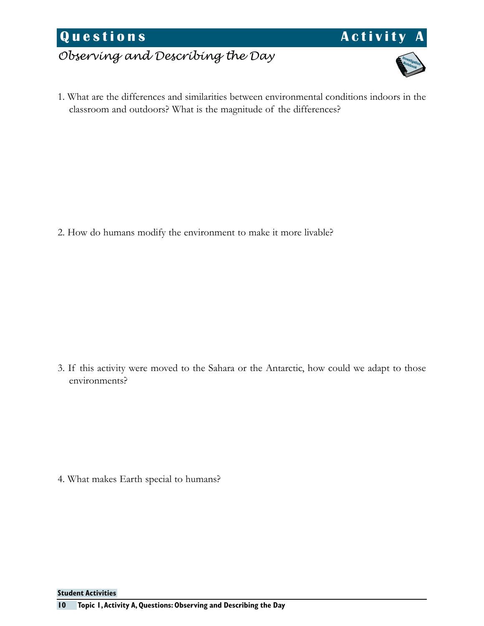**Questions Activity** 

*Observing and Describing the Day*

1. What are the differences and similarities between environmental conditions indoors in the classroom and outdoors? What is the magnitude of the differences?

2. How do humans modify the environment to make it more livable?

3. If this activity were moved to the Sahara or the Antarctic, how could we adapt to those environments?

4. What makes Earth special to humans?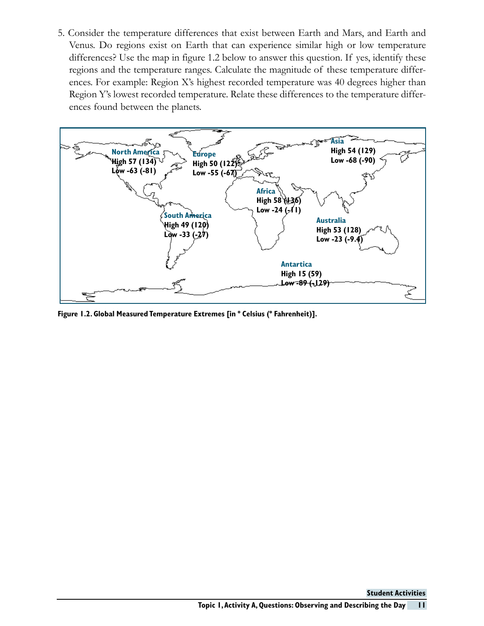5. Consider the temperature differences that exist between Earth and Mars, and Earth and Venus. Do regions exist on Earth that can experience similar high or low temperature differences? Use the map in figure 1.2 below to answer this question. If yes, identify these regions and the temperature ranges. Calculate the magnitude of these temperature differences. For example: Region X's highest recorded temperature was 40 degrees higher than Region Y's lowest recorded temperature. Relate these differences to the temperature differences found between the planets.

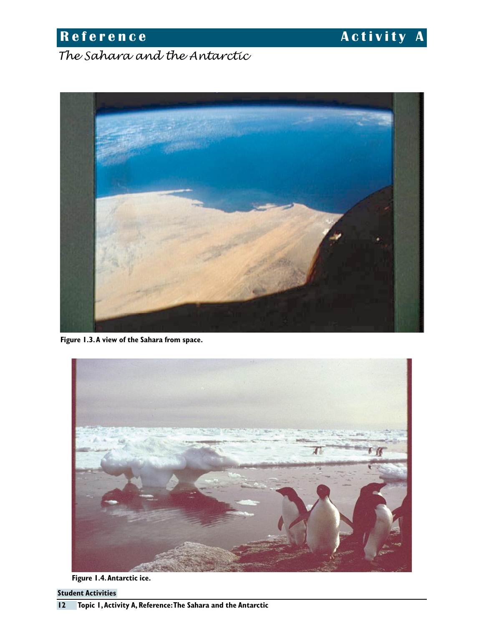**Reference Activity A** 

*The Sahara and the Antarctic*



**Figure 1.3. A view of the Sahara from space.**



**Figure 1.4. Antarctic ice.**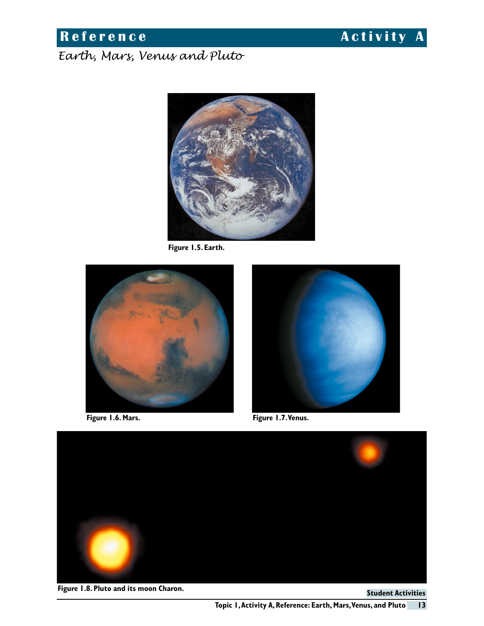### **R e f e r e n c e A c t i v i t y A**

### *Earth, Mars, Venus and Pluto*



**Figure 1.5. Earth.**



**Figure 1.6. Mars.**



**Figure 1.7. Venus.**



**Figure 1.8. Pluto and its moon Charon.**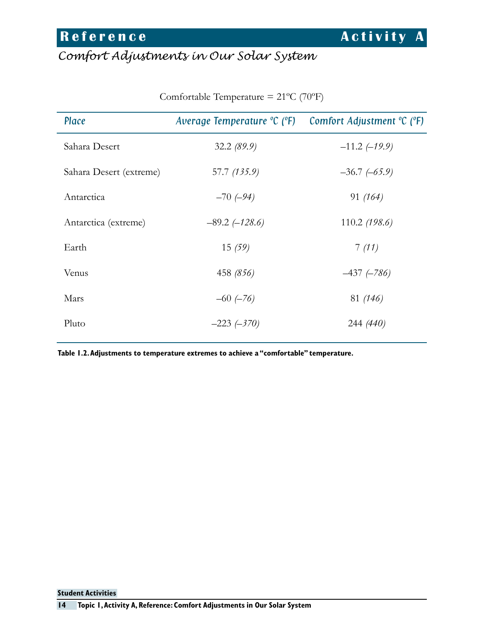## *Comfort Adjustments in Our Solar System*

| Place                   | Average Temperature °C (°F) | Comfort Adjustment ${}^{\circ}C$ ( ${}^{\circ}F$ ) |
|-------------------------|-----------------------------|----------------------------------------------------|
| Sahara Desert           | 32.2(89.9)                  | $-11.2$ (-19.9)                                    |
| Sahara Desert (extreme) | 57.7 (135.9)                | $-36.7(-65.9)$                                     |
| Antarctica              | $-70(-94)$                  | 91(164)                                            |
| Antarctica (extreme)    | $-89.2$ (-128.6)            | 110.2 $(198.6)$                                    |
| Earth                   | 15(59)                      | 7(11)                                              |
| Venus                   | 458 (856)                   | $-437$ ( $-786$ )                                  |
| Mars                    | $-60$ $(-76)$               | 81 (146)                                           |
| Pluto                   | $-223(-370)$                | 244 (440)                                          |

Comfortable Temperature = 21ºC (70ºF)

**Table 1.2. Adjustments to temperature extremes to achieve a "comfortable" temperature.**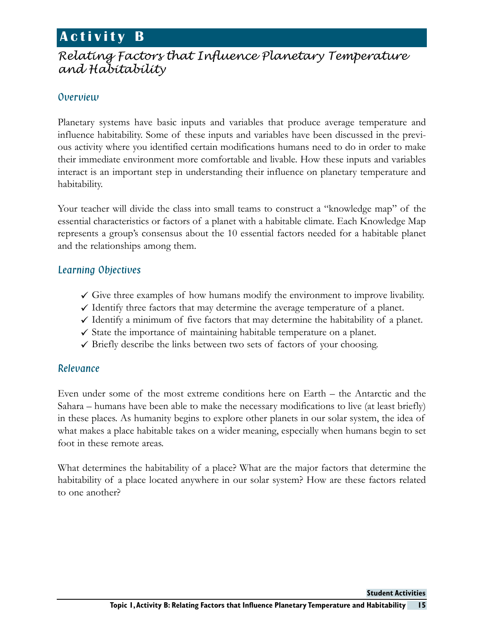### **A c t i v i t y B**

### *Relating Factors that Influence Planetary Temperature and Habitability*

### Overview

Planetary systems have basic inputs and variables that produce average temperature and influence habitability. Some of these inputs and variables have been discussed in the previous activity where you identified certain modifications humans need to do in order to make their immediate environment more comfortable and livable. How these inputs and variables interact is an important step in understanding their influence on planetary temperature and habitability.

Your teacher will divide the class into small teams to construct a "knowledge map" of the essential characteristics or factors of a planet with a habitable climate. Each Knowledge Map represents a group's consensus about the 10 essential factors needed for a habitable planet and the relationships among them.

### Learning Objectives

- $\checkmark$  Give three examples of how humans modify the environment to improve livability.
- $\checkmark$  Identify three factors that may determine the average temperature of a planet.
- $\checkmark$  Identify a minimum of five factors that may determine the habitability of a planet.
- $\checkmark$  State the importance of maintaining habitable temperature on a planet.
- $\checkmark$  Briefly describe the links between two sets of factors of your choosing.

### Relevance

Even under some of the most extreme conditions here on Earth – the Antarctic and the Sahara – humans have been able to make the necessary modifications to live (at least briefly) in these places. As humanity begins to explore other planets in our solar system, the idea of what makes a place habitable takes on a wider meaning, especially when humans begin to set foot in these remote areas.

What determines the habitability of a place? What are the major factors that determine the habitability of a place located anywhere in our solar system? How are these factors related to one another?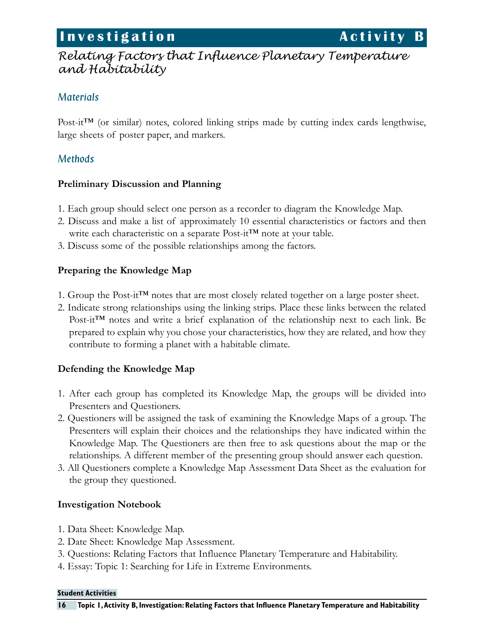### **Investigation Activity B**

### *Relating Factors that Influence Planetary Temperature and Habitability*

### Materials

Post-it™ (or similar) notes, colored linking strips made by cutting index cards lengthwise, large sheets of poster paper, and markers.

### **Methods**

#### **Preliminary Discussion and Planning**

- 1. Each group should select one person as a recorder to diagram the Knowledge Map.
- 2. Discuss and make a list of approximately 10 essential characteristics or factors and then write each characteristic on a separate Post-it™ note at your table.
- 3. Discuss some of the possible relationships among the factors.

### **Preparing the Knowledge Map**

- 1. Group the Post-it<sup>TM</sup> notes that are most closely related together on a large poster sheet.
- 2. Indicate strong relationships using the linking strips. Place these links between the related Post-it<sup>™</sup> notes and write a brief explanation of the relationship next to each link. Be prepared to explain why you chose your characteristics, how they are related, and how they contribute to forming a planet with a habitable climate.

### **Defending the Knowledge Map**

- 1. After each group has completed its Knowledge Map, the groups will be divided into Presenters and Questioners.
- 2. Questioners will be assigned the task of examining the Knowledge Maps of a group. The Presenters will explain their choices and the relationships they have indicated within the Knowledge Map. The Questioners are then free to ask questions about the map or the relationships. A different member of the presenting group should answer each question.
- 3. All Questioners complete a Knowledge Map Assessment Data Sheet as the evaluation for the group they questioned.

### **Investigation Notebook**

- 1. Data Sheet: Knowledge Map.
- 2. Date Sheet: Knowledge Map Assessment.
- 3. Questions: Relating Factors that Influence Planetary Temperature and Habitability.
- 4. Essay: Topic 1: Searching for Life in Extreme Environments.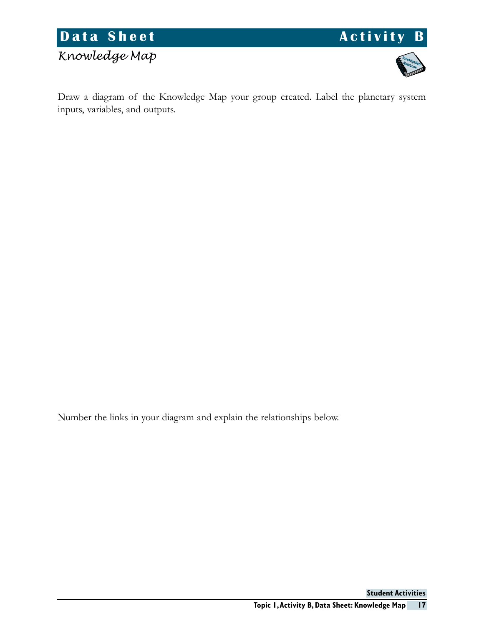

## *Knowledge Map*





Draw a diagram of the Knowledge Map your group created. Label the planetary system inputs, variables, and outputs.

Number the links in your diagram and explain the relationships below.

**17 Student Activities Topic 1, Activity B, Data Sheet: Knowledge Map**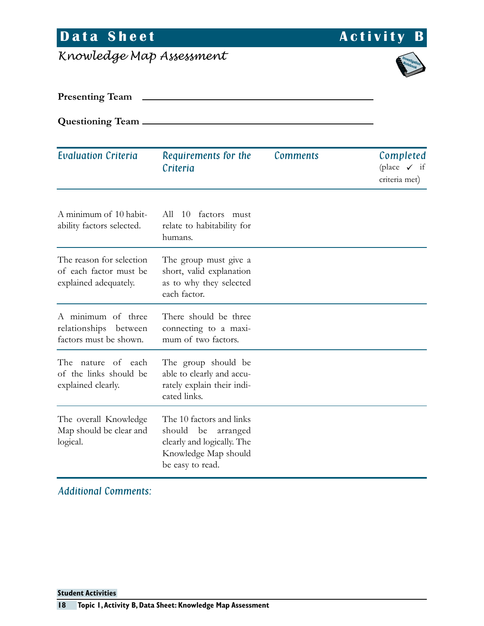# **Data Sheet Activity B**

*Knowledge Map Assessment*



**Presenting Team**

**Questioning Team**

| <b>Evaluation Criteria</b>                                                  | Requirements for the<br>Criteria                                                                                               | <b>Comments</b> | Completed<br>(place $\checkmark$ if<br>criteria met) |
|-----------------------------------------------------------------------------|--------------------------------------------------------------------------------------------------------------------------------|-----------------|------------------------------------------------------|
| A minimum of 10 habit-<br>ability factors selected.                         | factors must<br>All 10<br>relate to habitability for<br>humans.                                                                |                 |                                                      |
| The reason for selection<br>of each factor must be<br>explained adequately. | The group must give a<br>short, valid explanation<br>as to why they selected<br>each factor.                                   |                 |                                                      |
| A minimum of three<br>relationships between<br>factors must be shown.       | There should be three<br>connecting to a maxi-<br>mum of two factors.                                                          |                 |                                                      |
| The<br>nature of each<br>of the links should be<br>explained clearly.       | The group should be<br>able to clearly and accu-<br>rately explain their indi-<br>cated links.                                 |                 |                                                      |
| The overall Knowledge<br>Map should be clear and<br>logical.                | The 10 factors and links<br>should<br>be<br>arranged<br>clearly and logically. The<br>Knowledge Map should<br>be easy to read. |                 |                                                      |

Additional Comments: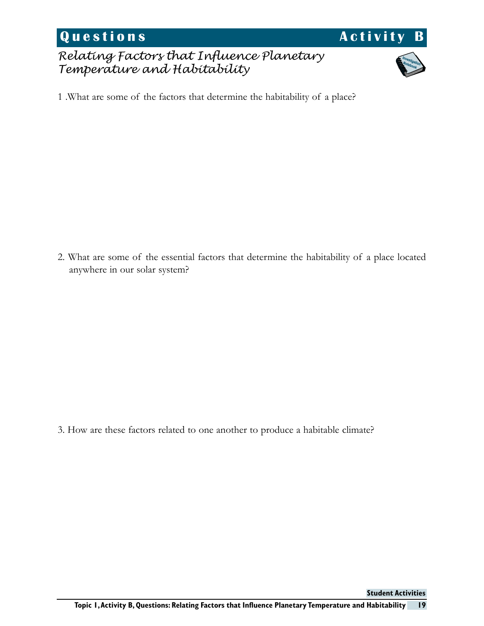**Questions Activity B** 

*Relating Factors that Influence Planetary Temperature and Habitability*



1 .What are some of the factors that determine the habitability of a place?

2. What are some of the essential factors that determine the habitability of a place located anywhere in our solar system?

3. How are these factors related to one another to produce a habitable climate?